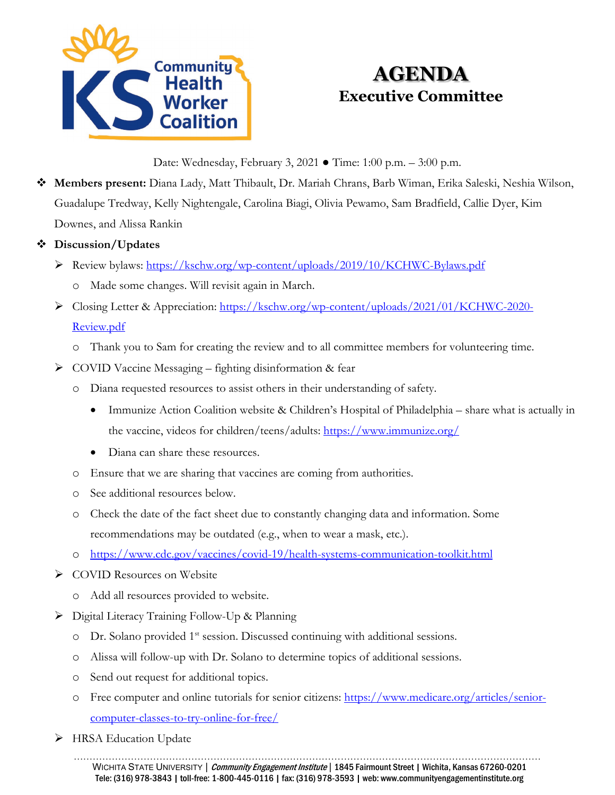

# **AGENDA Executive Committee**

Date: Wednesday, February 3, 2021 ● Time: 1:00 p.m. – 3:00 p.m.

 **Members present:** Diana Lady, Matt Thibault, Dr. Mariah Chrans, Barb Wiman, Erika Saleski, Neshia Wilson, Guadalupe Tredway, Kelly Nightengale, Carolina Biagi, Olivia Pewamo, Sam Bradfield, Callie Dyer, Kim Downes, and Alissa Rankin

#### **Discussion/Updates**

- Review bylaws:<https://kschw.org/wp-content/uploads/2019/10/KCHWC-Bylaws.pdf>
	- o Made some changes. Will revisit again in March.
- Closing Letter & Appreciation: [https://kschw.org/wp-content/uploads/2021/01/KCHWC-2020-](https://kschw.org/wp-content/uploads/2021/01/KCHWC-2020-Review.pdf) [Review.pdf](https://kschw.org/wp-content/uploads/2021/01/KCHWC-2020-Review.pdf)
	- o Thank you to Sam for creating the review and to all committee members for volunteering time.
- $\triangleright$  COVID Vaccine Messaging fighting disinformation & fear
	- o Diana requested resources to assist others in their understanding of safety.
		- Immunize Action Coalition website & Children's Hospital of Philadelphia share what is actually in the vaccine, videos for children/teens/adults:<https://www.immunize.org/>
		- Diana can share these resources.
	- o Ensure that we are sharing that vaccines are coming from authorities.
	- o See additional resources below.
	- o Check the date of the fact sheet due to constantly changing data and information. Some recommendations may be outdated (e.g., when to wear a mask, etc.).
	- o <https://www.cdc.gov/vaccines/covid-19/health-systems-communication-toolkit.html>
- **►** COVID Resources on Website
	- o Add all resources provided to website.
- Digital Literacy Training Follow-Up & Planning
	- $\circ$  Dr. Solano provided 1<sup>st</sup> session. Discussed continuing with additional sessions.
	- o Alissa will follow-up with Dr. Solano to determine topics of additional sessions.
	- o Send out request for additional topics.
	- o Free computer and online tutorials for senior citizens: [https://www.medicare.org/articles/senior](https://www.medicare.org/articles/senior-computer-classes-to-try-online-for-free/)[computer-classes-to-try-online-for-free/](https://www.medicare.org/articles/senior-computer-classes-to-try-online-for-free/)
- > HRSA Education Update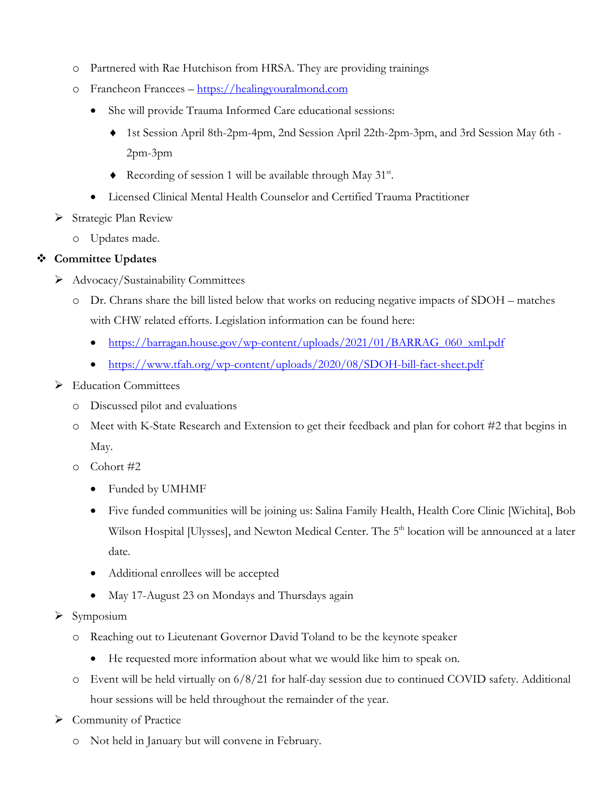- o Partnered with Rae Hutchison from HRSA. They are providing trainings
- o Francheon Francees [https://healingyouralmond.com](https://healingyouralmond.com/)
	- She will provide Trauma Informed Care educational sessions:
		- ♦ 1st Session April 8th-2pm-4pm, 2nd Session April 22th-2pm-3pm, and 3rd Session May 6th 2pm-3pm
		- ♦ Recording of session 1 will be available through May 31st.
	- Licensed Clinical Mental Health Counselor and Certified Trauma Practitioner
- Strategic Plan Review
	- o Updates made.

#### **Committee Updates**

- Advocacy/Sustainability Committees
	- o Dr. Chrans share the bill listed below that works on reducing negative impacts of SDOH matches with CHW related efforts. Legislation information can be found here:
		- [https://barragan.house.gov/wp-content/uploads/2021/01/BARRAG\\_060\\_xml.pdf](https://barragan.house.gov/wp-content/uploads/2021/01/BARRAG_060_xml.pdf)
		- <https://www.tfah.org/wp-content/uploads/2020/08/SDOH-bill-fact-sheet.pdf>
- > Education Committees
	- o Discussed pilot and evaluations
	- o Meet with K-State Research and Extension to get their feedback and plan for cohort #2 that begins in May.
	- o Cohort #2
		- Funded by UMHMF
		- Five funded communities will be joining us: Salina Family Health, Health Core Clinic [Wichita], Bob Wilson Hospital [Ulysses], and Newton Medical Center. The 5<sup>th</sup> location will be announced at a later date.
		- Additional enrollees will be accepted
		- May 17-August 23 on Mondays and Thursdays again
- $\triangleright$  Symposium
	- o Reaching out to Lieutenant Governor David Toland to be the keynote speaker
		- He requested more information about what we would like him to speak on.
	- o Event will be held virtually on 6/8/21 for half-day session due to continued COVID safety. Additional hour sessions will be held throughout the remainder of the year.
- $\triangleright$  Community of Practice
	- o Not held in January but will convene in February.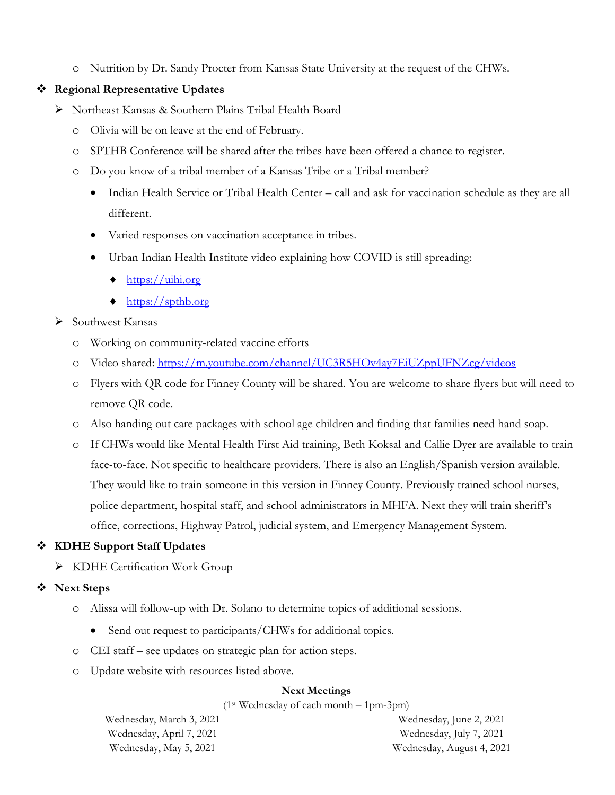o Nutrition by Dr. Sandy Procter from Kansas State University at the request of the CHWs.

#### **Regional Representative Updates**

- Northeast Kansas & Southern Plains Tribal Health Board
	- o Olivia will be on leave at the end of February.
	- o SPTHB Conference will be shared after the tribes have been offered a chance to register.
	- o Do you know of a tribal member of a Kansas Tribe or a Tribal member?
		- Indian Health Service or Tribal Health Center call and ask for vaccination schedule as they are all different.
		- Varied responses on vaccination acceptance in tribes.
		- Urban Indian Health Institute video explaining how COVID is still spreading:
			- $\triangleleft$  [https://uihi.org](https://uihi.org/)
			- ♦ [https://spthb.org](https://spthb.org/)
- $\triangleright$  Southwest Kansas
	- o Working on community-related vaccine efforts
	- o Video shared:<https://m.youtube.com/channel/UC3R5HOv4ay7EiUZppUFNZcg/videos>
	- o Flyers with QR code for Finney County will be shared. You are welcome to share flyers but will need to remove QR code.
	- o Also handing out care packages with school age children and finding that families need hand soap.
	- o If CHWs would like Mental Health First Aid training, Beth Koksal and Callie Dyer are available to train face-to-face. Not specific to healthcare providers. There is also an English/Spanish version available. They would like to train someone in this version in Finney County. Previously trained school nurses, police department, hospital staff, and school administrators in MHFA. Next they will train sheriff's office, corrections, Highway Patrol, judicial system, and Emergency Management System.

## **KDHE Support Staff Updates**

> KDHE Certification Work Group

## **Next Steps**

- o Alissa will follow-up with Dr. Solano to determine topics of additional sessions.
	- Send out request to participants/CHWs for additional topics.
- o CEI staff see updates on strategic plan for action steps.
- o Update website with resources listed above.

### **Next Meetings**

(1st Wednesday of each month – 1pm-3pm)

Wednesday, March 3, 2021 Wednesday, April 7, 2021 Wednesday, May 5, 2021

Wednesday, June 2, 2021 Wednesday, July 7, 2021 Wednesday, August 4, 2021